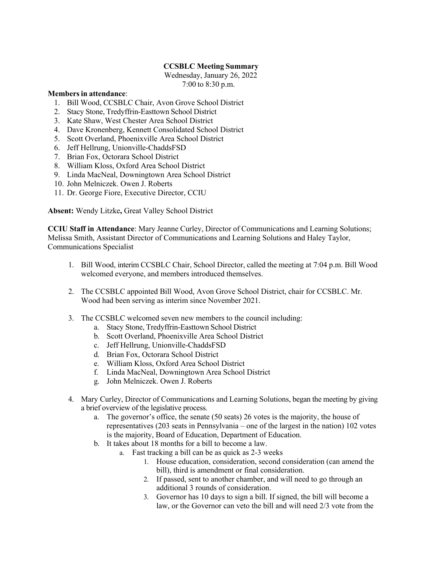## **CCSBLC Meeting Summary**

 Wednesday, January 26, 2022 7:00 to 8:30 p.m.

## **Membersin attendance**:

- 1. Bill Wood, CCSBLC Chair, Avon Grove School District
- 2. Stacy Stone, Tredyffrin-Easttown School District
- 3. Kate Shaw, West Chester Area School District
- 4. Dave Kronenberg, Kennett Consolidated School District
- 5. Scott Overland, Phoenixville Area School District
- 6. Jeff Hellrung, Unionville-ChaddsFSD
- 7. Brian Fox, Octorara School District
- 8. William Kloss, Oxford Area School District
- 9. Linda MacNeal, Downingtown Area School District
- 10. John Melniczek. Owen J. Roberts
- 11. Dr. George Fiore, Executive Director, CCIU

**Absent:** Wendy Litzke**,** Great Valley School District

**CCIU Staff in Attendance**: Mary Jeanne Curley, Director of Communications and Learning Solutions; Melissa Smith, Assistant Director of Communications and Learning Solutions and Haley Taylor, Communications Specialist

- 1. Bill Wood, interim CCSBLC Chair, School Director, called the meeting at 7:04 p.m. Bill Wood welcomed everyone, and members introduced themselves.
- 2. The CCSBLC appointed Bill Wood, Avon Grove School District, chair for CCSBLC. Mr. Wood had been serving as interim since November 2021.
- 3. The CCSBLC welcomed seven new members to the council including:
	- a. Stacy Stone, Tredyffrin-Easttown School District
	- b. Scott Overland, Phoenixville Area School District
	- c. Jeff Hellrung, Unionville-ChaddsFSD
	- d. Brian Fox, Octorara School District
	- e. William Kloss, Oxford Area School District
	- f. Linda MacNeal, Downingtown Area School District
	- g. John Melniczek. Owen J. Roberts
- 4. Mary Curley, Director of Communications and Learning Solutions, began the meeting by giving a brief overview of the legislative process.
	- a. The governor's office, the senate (50 seats) 26 votes is the majority, the house of representatives (203 seats in Pennsylvania – one of the largest in the nation) 102 votes is the majority, Board of Education, Department of Education.
	- b. It takes about 18 months for a bill to become a law.
		- a. Fast tracking a bill can be as quick as 2-3 weeks
			- 1. House education, consideration, second consideration (can amend the bill), third is amendment or final consideration.
			- 2. If passed, sent to another chamber, and will need to go through an additional 3 rounds of consideration.
			- 3. Governor has 10 days to sign a bill. If signed, the bill will become a law, or the Governor can veto the bill and will need 2/3 vote from the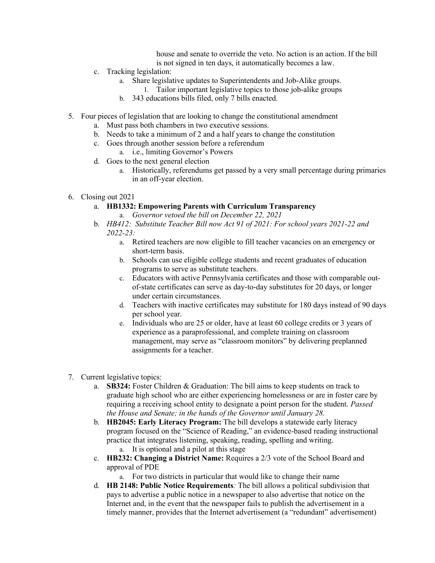house and senate to override the veto. No action is an action. If the bill is not signed in ten days, it automatically becomes a law.

- c. Tracking legislation:
	- a. Share legislative updates to Superintendents and Job-Alike groups.
		- 1. Tailor important legislative topics to those job-alike groups
	- b. 343 educations bills filed, only 7 bills enacted.
- 5. Four pieces of legislation that are looking to change the constitutional amendment
	- a. Must pass both chambers in two executive sessions.
	- b. Needs to take a minimum of 2 and a half years to change the constitution
	- c. Goes through another session before a referendum
		- a. i.e., limiting Governor's Powers
	- d. Goes to the next general election
		- a. Historically, referendums get passed by a very small percentage during primaries in an off-year election.
- 6. Closing out 2021

## a. **HB1332: Empowering Parents with Curriculum Transparency**

- a. *Governor vetoed the bill on December 22, 2021*
- b. *HB412: Substitute Teacher Bill now Act 91 of 2021: For school years 2021-22 and 2022-23:*
	- a. Retired teachers are now eligible to fill teacher vacancies on an emergency or short-term basis.
	- b. Schools can use eligible college students and recent graduates of education programs to serve as substitute teachers.
	- c. Educators with active Pennsylvania certificates and those with comparable outof-state certificates can serve as day-to-day substitutes for 20 days, or longer under certain circumstances.
	- d. Teachers with inactive certificates may substitute for 180 days instead of 90 days per school year.
	- e. Individuals who are 25 or older, have at least 60 college credits or 3 years of experience as a paraprofessional, and complete training on classroom management, may serve as "classroom monitors" by delivering preplanned assignments for a teacher.
- 7. Current legislative topics:
	- a. **SB324:** Foster Children & Graduation: The bill aims to keep students on track to graduate high school who are either experiencing homelessness or are in foster care by requiring a receiving school entity to designate a point person for the student. *Passed the House and Senate; in the hands of the Governor until January 28.*
	- b. **HB2045: Early Literacy Program:** The bill develops a statewide early literacy program focused on the "Science of Reading," an evidence-based reading instructional practice that integrates listening, speaking, reading, spelling and writing. a. It is optional and a pilot at this stage
	- c. **HB232: Changing a District Name:** Requires a 2/3 vote of the School Board and approval of PDE
		- a. For two districts in particular that would like to change their name
	- d. **HB 2148: Public Notice Requirements***:* The bill allows a political subdivision that pays to advertise a public notice in a newspaper to also advertise that notice on the Internet and, in the event that the newspaper fails to publish the advertisement in a timely manner, provides that the Internet advertisement (a "redundant" advertisement)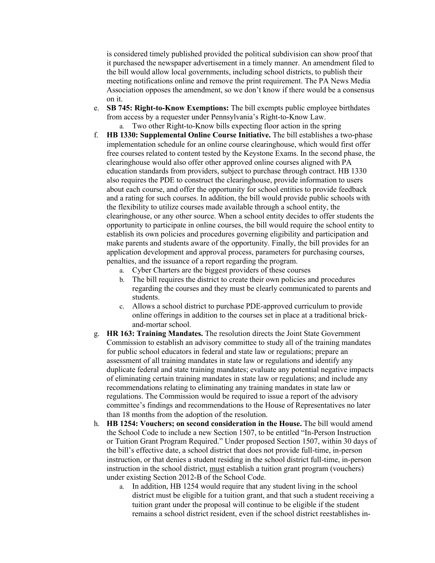is considered timely published provided the political subdivision can show proof that it purchased the newspaper advertisement in a timely manner. An amendment filed to the bill would allow local governments, including school districts, to publish their meeting notifications online and remove the print requirement. The PA News Media Association opposes the amendment, so we don't know if there would be a consensus on it.

e. **SB 745: Right-to-Know Exemptions:** The bill exempts public employee birthdates from access by a requester under Pennsylvania's Right-to-Know Law.

a. Two other Right-to-Know bills expecting floor action in the spring

- f. **HB 1330: Supplemental Online Course Initiative.** The bill establishes a two-phase implementation schedule for an online course clearinghouse, which would first offer free courses related to content tested by the Keystone Exams. In the second phase, the clearinghouse would also offer other approved online courses aligned with PA education standards from providers, subject to purchase through contract. HB 1330 also requires the PDE to construct the clearinghouse, provide information to users about each course, and offer the opportunity for school entities to provide feedback and a rating for such courses. In addition, the bill would provide public schools with the flexibility to utilize courses made available through a school entity, the clearinghouse, or any other source. When a school entity decides to offer students the opportunity to participate in online courses, the bill would require the school entity to establish its own policies and procedures governing eligibility and participation and make parents and students aware of the opportunity. Finally, the bill provides for an application development and approval process, parameters for purchasing courses, penalties, and the issuance of a report regarding the program.
	- a. Cyber Charters are the biggest providers of these courses
	- b. The bill requires the district to create their own policies and procedures regarding the courses and they must be clearly communicated to parents and students.
	- c. Allows a school district to purchase PDE-approved curriculum to provide online offerings in addition to the courses set in place at a traditional brickand-mortar school.
- g. **HR 163: Training Mandates.** The resolution directs the Joint State Government Commission to establish an advisory committee to study all of the training mandates for public school educators in federal and state law or regulations; prepare an assessment of all training mandates in state law or regulations and identify any duplicate federal and state training mandates; evaluate any potential negative impacts of eliminating certain training mandates in state law or regulations; and include any recommendations relating to eliminating any training mandates in state law or regulations. The Commission would be required to issue a report of the advisory committee's findings and recommendations to the House of Representatives no later than 18 months from the adoption of the resolution.
- h. **HB 1254: Vouchers; on second consideration in the House.** The bill would amend the School Code to include a new Section 1507, to be entitled "In-Person Instruction or Tuition Grant Program Required." Under proposed Section 1507, within 30 days of the bill's effective date, a school district that does not provide full-time, in-person instruction, or that denies a student residing in the school district full-time, in-person instruction in the school district, must establish a tuition grant program (vouchers) under existing Section 2012-B of the School Code.
	- a. In addition, HB 1254 would require that any student living in the school district must be eligible for a tuition grant, and that such a student receiving a tuition grant under the proposal will continue to be eligible if the student remains a school district resident, even if the school district reestablishes in-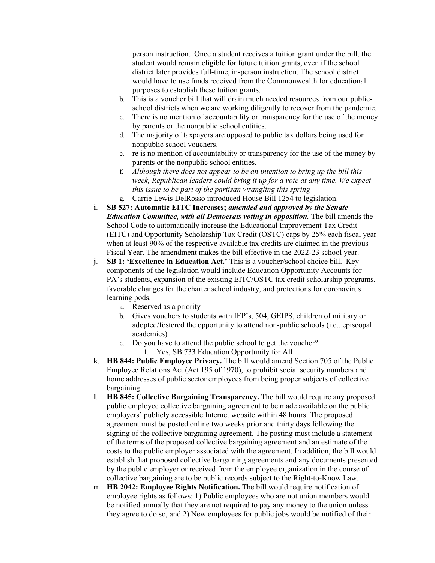person instruction. Once a student receives a tuition grant under the bill, the student would remain eligible for future tuition grants, even if the school district later provides full-time, in-person instruction. The school district would have to use funds received from the Commonwealth for educational purposes to establish these tuition grants.

- b. This is a voucher bill that will drain much needed resources from our publicschool districts when we are working diligently to recover from the pandemic.
- c. There is no mention of accountability or transparency for the use of the money by parents or the nonpublic school entities.
- d. The majority of taxpayers are opposed to public tax dollars being used for nonpublic school vouchers.
- e. re is no mention of accountability or transparency for the use of the money by parents or the nonpublic school entities.
- f. *Although there does not appear to be an intention to bring up the bill this week, Republican leaders could bring it up for a vote at any time. We expect this issue to be part of the partisan wrangling this spring*
- g. Carrie Lewis DelRosso introduced House Bill 1254 to legislation.
- i. **SB 527: Automatic EITC Increases;** *amended and approved by the Senate Education Committee, with all Democrats voting in opposition.* The bill amends the School Code to automatically increase the Educational Improvement Tax Credit (EITC) and Opportunity Scholarship Tax Credit (OSTC) caps by 25% each fiscal year when at least 90% of the respective available tax credits are claimed in the previous Fiscal Year. The amendment makes the bill effective in the 2022-23 school year.
- j. **SB 1: 'Excellence in Education Act.'** This is a voucher/school choice bill. Key components of the legislation would include Education Opportunity Accounts for PA's students, expansion of the existing EITC/OSTC tax credit scholarship programs, favorable changes for the charter school industry, and protections for coronavirus learning pods.
	- a. Reserved as a priority
	- b. Gives vouchers to students with IEP's, 504, GEIPS, children of military or adopted/fostered the opportunity to attend non-public schools (i.e., episcopal academies)
	- c. Do you have to attend the public school to get the voucher? 1. Yes, SB 733 Education Opportunity for All
- k. **HB 844: Public Employee Privacy.** The bill would amend Section 705 of the Public Employee Relations Act (Act 195 of 1970), to prohibit social security numbers and home addresses of public sector employees from being proper subjects of collective bargaining.
- l. **HB 845: Collective Bargaining Transparency.** The bill would require any proposed public employee collective bargaining agreement to be made available on the public employers' publicly accessible Internet website within 48 hours. The proposed agreement must be posted online two weeks prior and thirty days following the signing of the collective bargaining agreement. The posting must include a statement of the terms of the proposed collective bargaining agreement and an estimate of the costs to the public employer associated with the agreement. In addition, the bill would establish that proposed collective bargaining agreements and any documents presented by the public employer or received from the employee organization in the course of collective bargaining are to be public records subject to the Right-to-Know Law.
- m. **HB 2042: Employee Rights Notification.** The bill would require notification of employee rights as follows: 1) Public employees who are not union members would be notified annually that they are not required to pay any money to the union unless they agree to do so, and 2) New employees for public jobs would be notified of their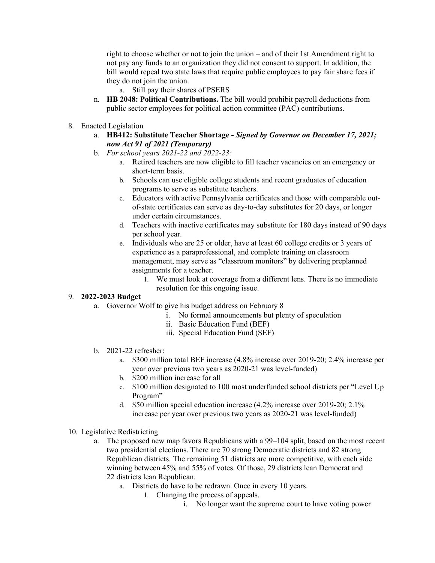right to choose whether or not to join the union – and of their 1st Amendment right to not pay any funds to an organization they did not consent to support. In addition, the bill would repeal two state laws that require public employees to pay fair share fees if they do not join the union.

- a. Still pay their shares of PSERS
- n. **HB 2048: Political Contributions.** The bill would prohibit payroll deductions from public sector employees for political action committee (PAC) contributions.
- 8. Enacted Legislation
	- a. **HB412: Substitute Teacher Shortage -** *Signed by Governor on December 17, 2021; now Act 91 of 2021 (Temporary)*
	- b. *For school years 2021-22 and 2022-23:*
		- a. Retired teachers are now eligible to fill teacher vacancies on an emergency or short-term basis.
		- b. Schools can use eligible college students and recent graduates of education programs to serve as substitute teachers.
		- c. Educators with active Pennsylvania certificates and those with comparable outof-state certificates can serve as day-to-day substitutes for 20 days, or longer under certain circumstances.
		- d. Teachers with inactive certificates may substitute for 180 days instead of 90 days per school year.
		- e. Individuals who are 25 or older, have at least 60 college credits or 3 years of experience as a paraprofessional, and complete training on classroom management, may serve as "classroom monitors" by delivering preplanned assignments for a teacher.
			- 1. We must look at coverage from a different lens. There is no immediate resolution for this ongoing issue.

## 9. **2022-2023 Budget**

- a. Governor Wolf to give his budget address on February 8
	- i. No formal announcements but plenty of speculation
	- ii. Basic Education Fund (BEF)
	- iii. Special Education Fund (SEF)
- b. 2021-22 refresher:
	- a. \$300 million total BEF increase (4.8% increase over 2019-20; 2.4% increase per year over previous two years as 2020-21 was level-funded)
	- b. \$200 million increase for all
	- c. \$100 million designated to 100 most underfunded school districts per "Level Up Program"
	- d. \$50 million special education increase (4.2% increase over 2019-20; 2.1% increase per year over previous two years as 2020-21 was level-funded)
- 10. Legislative Redistricting
	- a. The proposed new map favors Republicans with a 99–104 split, based on the most recent two presidential elections. There are 70 strong Democratic districts and 82 strong Republican districts. The remaining 51 districts are more competitive, with each side winning between 45% and 55% of votes. Of those, 29 districts lean Democrat and 22 districts lean Republican.
		- a. Districts do have to be redrawn. Once in every 10 years.
			- 1. Changing the process of appeals.
				- i. No longer want the supreme court to have voting power